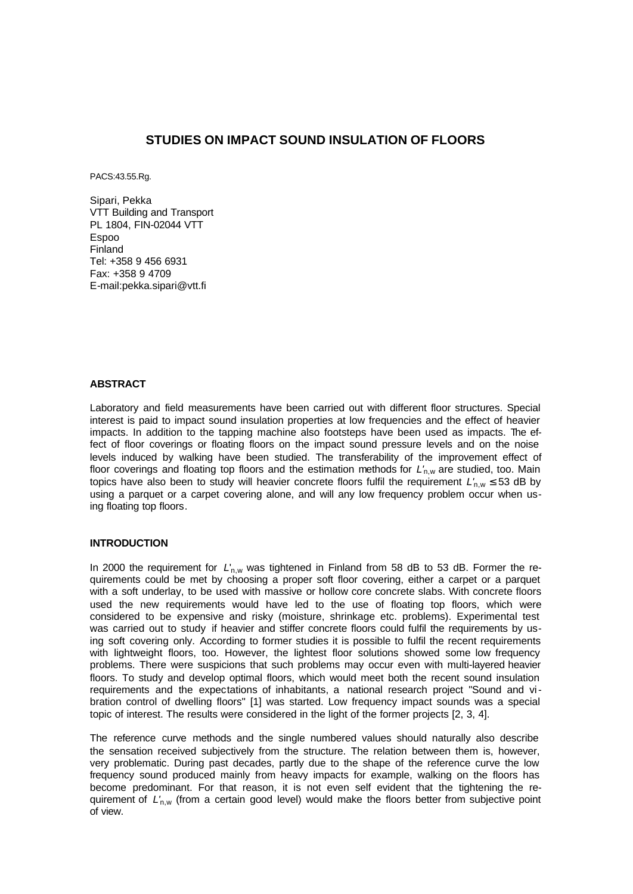# **STUDIES ON IMPACT SOUND INSULATION OF FLOORS**

PACS:43.55.Rg.

Sipari, Pekka VTT Building and Transport PL 1804, FIN-02044 VTT Espoo Finland Tel: +358 9 456 6931 Fax: +358 9 4709 E-mail:pekka.sipari@vtt.fi

### **ABSTRACT**

Laboratory and field measurements have been carried out with different floor structures. Special interest is paid to impact sound insulation properties at low frequencies and the effect of heavier impacts. In addition to the tapping machine also footsteps have been used as impacts. The effect of floor coverings or floating floors on the impact sound pressure levels and on the noise levels induced by walking have been studied. The transferability of the improvement effect of floor coverings and floating top floors and the estimation methods for *L'*n,w are studied, too. Main topics have also been to study will heavier concrete floors fulfil the requirement  $L'_{\text{n,w}} \leq 53$  dB by using a parquet or a carpet covering alone, and will any low frequency problem occur when using floating top floors.

### **INTRODUCTION**

In 2000 the requirement for  $L'_{n,w}$  was tightened in Finland from 58 dB to 53 dB. Former the requirements could be met by choosing a proper soft floor covering, either a carpet or a parquet with a soft underlay, to be used with massive or hollow core concrete slabs. With concrete floors used the new requirements would have led to the use of floating top floors, which were considered to be expensive and risky (moisture, shrinkage etc. problems). Experimental test was carried out to study if heavier and stiffer concrete floors could fulfil the requirements by using soft covering only. According to former studies it is possible to fulfil the recent requirements with lightweight floors, too. However, the lightest floor solutions showed some low frequency problems. There were suspicions that such problems may occur even with multi-layered heavier floors. To study and develop optimal floors, which would meet both the recent sound insulation requirements and the expectations of inhabitants, a national research project "Sound and vibration control of dwelling floors" [1] was started. Low frequency impact sounds was a special topic of interest. The results were considered in the light of the former projects [2, 3, 4].

The reference curve methods and the single numbered values should naturally also describe the sensation received subjectively from the structure. The relation between them is, however, very problematic. During past decades, partly due to the shape of the reference curve the low frequency sound produced mainly from heavy impacts for example, walking on the floors has become predominant. For that reason, it is not even self evident that the tightening the requirement of  $L'_{\text{n,w}}$  (from a certain good level) would make the floors better from subjective point of view.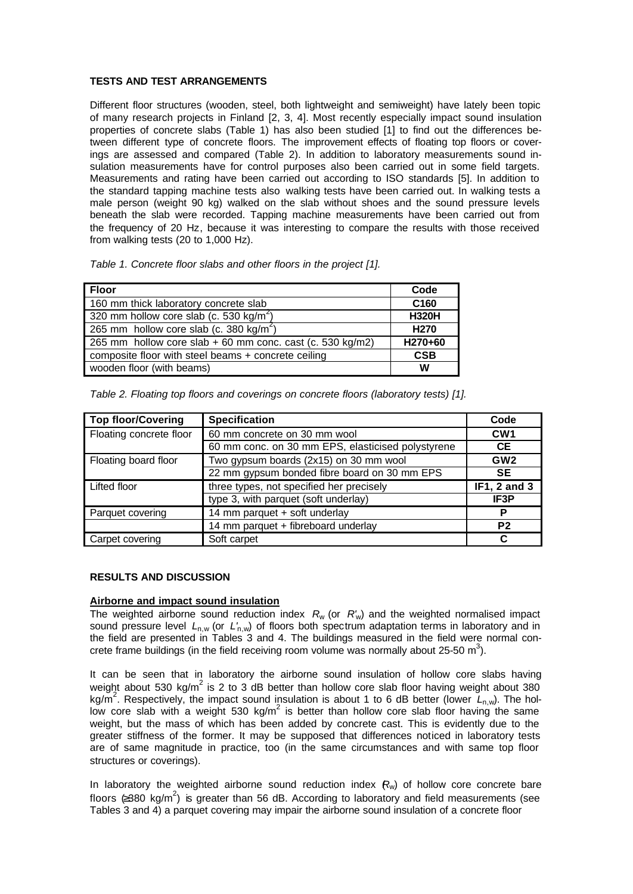### **TESTS AND TEST ARRANGEMENTS**

Different floor structures (wooden, steel, both lightweight and semiweight) have lately been topic of many research projects in Finland [2, 3, 4]. Most recently especially impact sound insulation properties of concrete slabs (Table 1) has also been studied [1] to find out the differences between different type of concrete floors. The improvement effects of floating top floors or coverings are assessed and compared (Table 2). In addition to laboratory measurements sound insulation measurements have for control purposes also been carried out in some field targets. Measurements and rating have been carried out according to ISO standards [5]. In addition to the standard tapping machine tests also walking tests have been carried out. In walking tests a male person (weight 90 kg) walked on the slab without shoes and the sound pressure levels beneath the slab were recorded. Tapping machine measurements have been carried out from the frequency of 20 Hz, because it was interesting to compare the results with those received from walking tests (20 to 1,000 Hz).

| <b>Floor</b>                                              | Code             |
|-----------------------------------------------------------|------------------|
| 160 mm thick laboratory concrete slab                     | C <sub>160</sub> |
| 320 mm hollow core slab (c. 530 kg/m <sup>2</sup> )       | <b>H320H</b>     |
| 265 mm hollow core slab (c. 380 kg/m <sup>2</sup> )       | H <sub>270</sub> |
| 265 mm hollow core slab + 60 mm conc. cast (c. 530 kg/m2) | H270+60          |
| composite floor with steel beams + concrete ceiling       | <b>CSB</b>       |
| wooden floor (with beams)                                 | w                |

| Table 2. Floating top floors and coverings on concrete floors (laboratory tests) [1]. |  |  |  |  |
|---------------------------------------------------------------------------------------|--|--|--|--|
|                                                                                       |  |  |  |  |

| <b>Top floor/Covering</b> | <b>Specification</b>                              | Code            |
|---------------------------|---------------------------------------------------|-----------------|
| Floating concrete floor   | 60 mm concrete on 30 mm wool                      | CW <sub>1</sub> |
|                           | 60 mm conc. on 30 mm EPS, elasticised polystyrene | <b>CE</b>       |
| Floating board floor      | Two gypsum boards (2x15) on 30 mm wool            | GW <sub>2</sub> |
|                           | 22 mm gypsum bonded fibre board on 30 mm EPS      | <b>SE</b>       |
| Lifted floor              | three types, not specified her precisely          | IF1, 2 and 3    |
|                           | type 3, with parquet (soft underlay)              | IF3P            |
| Parquet covering          | 14 mm parquet + soft underlay                     |                 |
|                           | 14 mm parquet + fibreboard underlay               | P <sub>2</sub>  |
| Carpet covering           | Soft carpet                                       |                 |

### **RESULTS AND DISCUSSION**

### **Airborne and impact sound insulation**

The weighted airborne sound reduction index  $R_w$  (or  $R'_w$ ) and the weighted normalised impact sound pressure level *L*n,w (or *L'*n,w) of floors both spectrum adaptation terms in laboratory and in the field are presented in Tables 3 and 4. The buildings measured in the field were normal concrete frame buildings (in the field receiving room volume was normally about 25-50 m<sup>3</sup>).

It can be seen that in laboratory the airborne sound insulation of hollow core slabs having weight about 530 kg/m<sup>2</sup> is 2 to 3 dB better than hollow core slab floor having weight about 380 kg/m<sup>2</sup>. Respectively, the impact sound insulation is about 1 to 6 dB better (lower  $\breve{L}_{\sf n,w}$ ). The hollow core slab with a weight 530 kg/m<sup>2</sup> is better than hollow core slab floor having the same weight, but the mass of which has been added by concrete cast. This is evidently due to the greater stiffness of the former. It may be supposed that differences noticed in laboratory tests are of same magnitude in practice, too (in the same circumstances and with same top floor structures or coverings).

In laboratory the weighted airborne sound reduction index  $R_w$ ) of hollow core concrete bare floors  $(2380 \text{ kg/m}^2)$  is greater than 56 dB. According to laboratory and field measurements (see Tables 3 and 4) a parquet covering may impair the airborne sound insulation of a concrete floor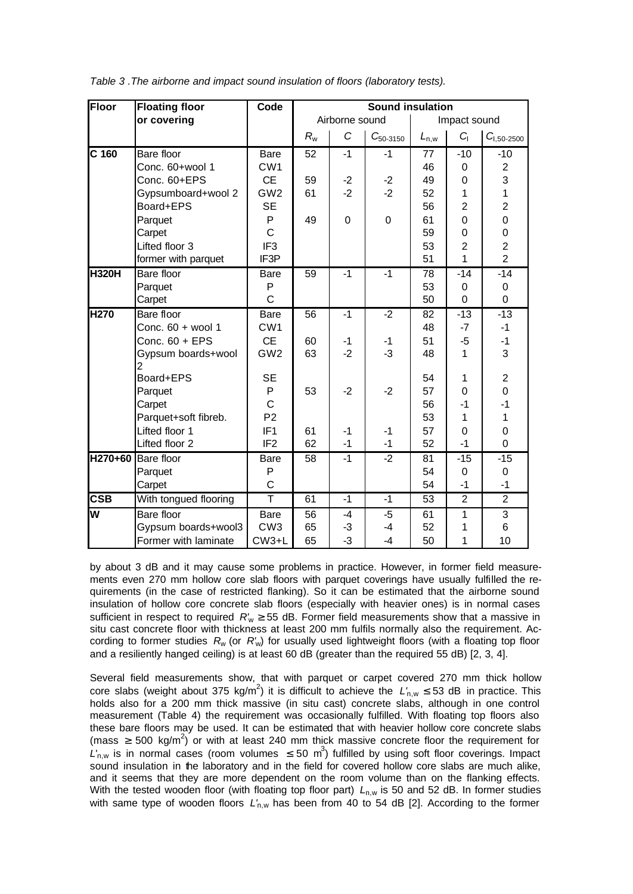| Floor                   | <b>Floating floor</b> | Code              | <b>Sound insulation</b> |                |               |              |                |                 |  |
|-------------------------|-----------------------|-------------------|-------------------------|----------------|---------------|--------------|----------------|-----------------|--|
|                         | or covering           |                   |                         | Airborne sound |               | Impact sound |                |                 |  |
|                         |                       |                   | $R_{w}$                 | $\mathcal{C}$  | $C_{50-3150}$ | $L_{n,w}$    | $C_1$          | $C_{1,50-2500}$ |  |
| $C$ 160                 | Bare floor            | <b>Bare</b>       | 52                      | $-1$           | $-1$          | 77           | $-10$          | $-10$           |  |
|                         | Conc. 60+wool 1       | CW <sub>1</sub>   |                         |                |               | 46           | 0              | $\overline{2}$  |  |
|                         | Conc. 60+EPS          | <b>CE</b>         | 59                      | $-2$           | $-2$          | 49           | 0              | 3               |  |
|                         | Gypsumboard+wool 2    | GW <sub>2</sub>   | 61                      | $-2$           | $-2$          | 52           | 1              | $\overline{1}$  |  |
|                         | Board+EPS             | <b>SE</b>         |                         |                |               | 56           | $\overline{2}$ | $\overline{2}$  |  |
|                         | Parquet               | P                 | 49                      | $\mathbf 0$    | $\mathbf 0$   | 61           | 0              | $\mathbf 0$     |  |
|                         | Carpet                | $\overline{C}$    |                         |                |               | 59           | $\overline{0}$ | $\mathbf 0$     |  |
|                         | Lifted floor 3        | IF <sub>3</sub>   |                         |                |               | 53           | $\overline{2}$ | $\overline{c}$  |  |
|                         | former with parquet   | IF3P              |                         |                |               | 51           | 1              | $\overline{2}$  |  |
| <b>H320H</b>            | Bare floor            | <b>Bare</b>       | 59                      | $-1$           | $-1$          | 78           | $-14$          | $-14$           |  |
|                         | Parquet               | P                 |                         |                |               | 53           | 0              | 0               |  |
|                         | Carpet                | $\overline{C}$    |                         |                |               | 50           | $\overline{0}$ | $\overline{0}$  |  |
| <b>H270</b>             | Bare floor            | <b>Bare</b>       | 56                      | $-1$           | $-2$          | 82           | $-13$          | $-13$           |  |
|                         | Conc. 60 + wool 1     | CW <sub>1</sub>   |                         |                |               | 48           | $-7$           | $-1$            |  |
|                         | Conc. $60 + EPS$      | <b>CE</b>         | 60                      | -1             | -1            | 51           | $-5$           | $-1$            |  |
|                         | Gypsum boards+wool    | GW <sub>2</sub>   | 63                      | $-2$           | $-3$          | 48           | 1              | 3               |  |
|                         | Board+EPS             | <b>SE</b>         |                         |                |               | 54           | 1              | $\overline{2}$  |  |
|                         | Parquet               | P                 | 53                      | $-2$           | $-2$          | 57           | $\overline{0}$ | $\overline{0}$  |  |
|                         | Carpet                | $\mathsf{C}$      |                         |                |               | 56           | $-1$           | $-1$            |  |
|                         | Parquet+soft fibreb.  | P <sub>2</sub>    |                         |                |               | 53           | 1              | 1               |  |
|                         | Lifted floor 1        | IF <sub>1</sub>   | 61                      | $-1$           | $-1$          | 57           | 0              | $\mathbf 0$     |  |
|                         | Lifted floor 2        | IF <sub>2</sub>   | 62                      | $-1$           | $-1$          | 52           | $-1$           | 0               |  |
|                         | H270+60 Bare floor    | Bare              | 58                      | $-1$           | $-2$          | 81           | $-15$          | $-15$           |  |
|                         | Parquet               | P                 |                         |                |               | 54           | 0              | 0               |  |
|                         | Carpet                | $\mathsf C$       |                         |                |               | 54           | $-1$           | $-1$            |  |
| $\overline{\text{CSB}}$ | With tongued flooring | $\overline{\top}$ | 61                      | $-1$           | $-1$          | 53           | $\overline{2}$ | $\overline{2}$  |  |
| M                       | Bare floor            | Bare              | 56                      | -4             | $-5$          | 61           | 1              | $\overline{3}$  |  |
|                         | Gypsum boards+wool3   | CW <sub>3</sub>   | 65                      | -3             | $-4$          | 52           | 1              | 6               |  |
|                         | Former with laminate  | CW3+L             | 65                      | -3             | $-4$          | 50           | 1              | 10              |  |

*Table 3 .The airborne and impact sound insulation of floors (laboratory tests).*

by about 3 dB and it may cause some problems in practice. However, in former field measurements even 270 mm hollow core slab floors with parquet coverings have usually fulfilled the requirements (in the case of restricted flanking). So it can be estimated that the airborne sound insulation of hollow core concrete slab floors (especially with heavier ones) is in normal cases sufficient in respect to required  $R'_w \ge 55$  dB. Former field measurements show that a massive in situ cast concrete floor with thickness at least 200 mm fulfils normally also the requirement. According to former studies *R*w (or *R'*w) for usually used lightweight floors (with a floating top floor and a resiliently hanged ceiling) is at least 60 dB (greater than the required 55 dB) [2, 3, 4].

Several field measurements show, that with parquet or carpet covered 270 mm thick hollow core slabs (weight about 375 kg/m<sup>2</sup>) it is difficult to achieve the  $L'_{n,w} \leq 53$  dB in practice. This holds also for a 200 mm thick massive (in situ cast) concrete slabs, although in one control measurement (Table 4) the requirement was occasionally fulfilled. With floating top floors also these bare floors may be used. It can be estimated that with heavier hollow core concrete slabs (mass  $\geq$  500 kg/m<sup>2</sup>) or with at least 240 mm thick massive concrete floor the requirement for  $L_{n,w}$  is in normal cases (room volumes  $\leq 50 \text{ m}^3$ ) fulfilled by using soft floor coverings. Impact sound insulation in the laboratory and in the field for covered hollow core slabs are much alike, and it seems that they are more dependent on the room volume than on the flanking effects. With the tested wooden floor (with floating top floor part)  $L_{n,w}$  is 50 and 52 dB. In former studies with same type of wooden floors  $L'_{n,w}$  has been from 40 to 54 dB [2]. According to the former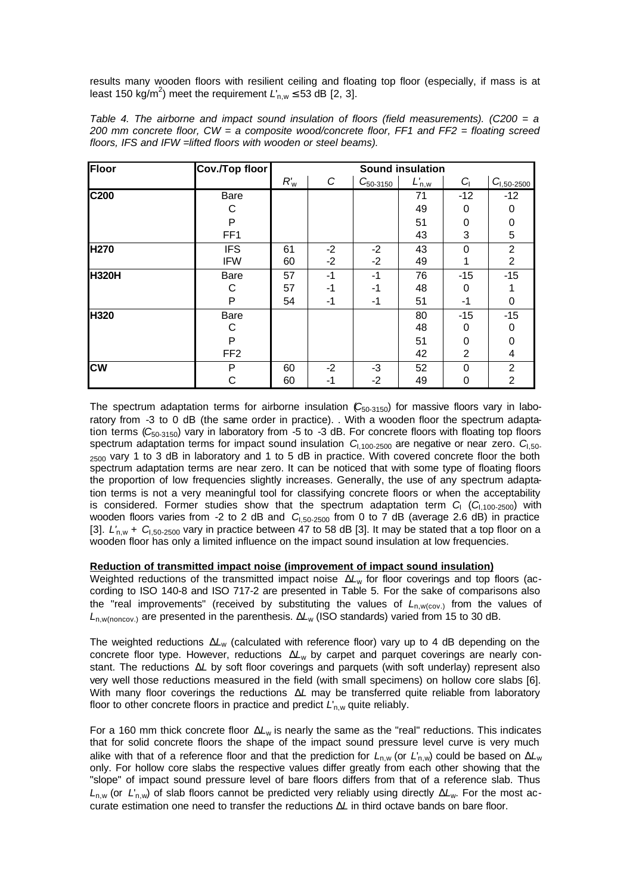results many wooden floors with resilient ceiling and floating top floor (especially, if mass is at least 150 kg/m<sup>2</sup>) meet the requirement  $L'_{n,w} \leq 53$  dB [2, 3].

| Floor        | <b>Cov./Top floor</b> |        |      |               | <b>Sound insulation</b> |          |                 |
|--------------|-----------------------|--------|------|---------------|-------------------------|----------|-----------------|
|              |                       | $R'_w$ | C    | $C_{50-3150}$ | $L'_{n,w}$              | G        | $C_{1,50-2500}$ |
| C200         | <b>Bare</b>           |        |      |               | 71                      | -12      | $-12$           |
|              | C                     |        |      |               | 49                      | 0        | 0               |
|              | P                     |        |      |               | 51                      | 0        | 0               |
|              | FF <sub>1</sub>       |        |      |               | 43                      | 3        | 5               |
| <b>H270</b>  | <b>IFS</b>            | 61     | $-2$ | $-2$          | 43                      | $\Omega$ | $\overline{c}$  |
|              | <b>IFW</b>            | 60     | $-2$ | $-2$          | 49                      |          | $\overline{2}$  |
| <b>H320H</b> | Bare                  | 57     | $-1$ | -1            | 76                      | $-15$    | $-15$           |
|              | C                     | 57     | $-1$ | -1            | 48                      | 0        |                 |
|              | P                     | 54     | -1   | -1            | 51                      | -1       | 0               |
| H320         | Bare                  |        |      |               | 80                      | $-15$    | $-15$           |
|              | С                     |        |      |               | 48                      | 0        | 0               |
|              | P                     |        |      |               | 51                      | $\Omega$ | 0               |
|              | FF <sub>2</sub>       |        |      |               | 42                      | 2        | 4               |
| <b>CW</b>    | Ρ                     | 60     | $-2$ | $-3$          | 52                      | $\Omega$ | 2               |
|              | С                     | 60     | -1   | $-2$          | 49                      | 0        | $\overline{2}$  |

*Table 4. The airborne and impact sound insulation of floors (field measurements). (C200 = a 200 mm concrete floor, CW = a composite wood/concrete floor, FF1 and FF2 = floating screed floors, IFS and IFW =lifted floors with wooden or steel beams).*

The spectrum adaptation terms for airborne insulation (C<sub>50-3150</sub>) for massive floors vary in laboratory from -3 to 0 dB (the same order in practice). . With a wooden floor the spectrum adaptation terms (*C*50-3150) vary in laboratory from -5 to -3 dB. For concrete floors with floating top floors spectrum adaptation terms for impact sound insulation *C*I,100-2500 are negative or near zero. *C*I,50- <sub>2500</sub> vary 1 to 3 dB in laboratory and 1 to 5 dB in practice. With covered concrete floor the both spectrum adaptation terms are near zero. It can be noticed that with some type of floating floors the proportion of low frequencies slightly increases. Generally, the use of any spectrum adaptation terms is not a very meaningful tool for classifying concrete floors or when the acceptability is considered. Former studies show that the spectrum adaptation term *C*<sub>I</sub> (*C*<sub>1,100-2500) with</sub> wooden floors varies from -2 to 2 dB and *C*<sub>1,50-2500</sub> from 0 to 7 dB (average 2.6 dB) in practice [3]. *L'*n,w + *C*I,50-2500 vary in practice between 47 to 58 dB [3]. It may be stated that a top floor on a wooden floor has only a limited influence on the impact sound insulation at low frequencies.

### **Reduction of transmitted impact noise (improvement of impact sound insulation)**

Weighted reductions of the transmitted impact noise Δ*L*w for floor coverings and top floors (according to ISO 140-8 and ISO 717-2 are presented in Table 5. For the sake of comparisons also the "real improvements" (received by substituting the values of  $L_{n,w(cov)}$  from the values of *L*n,w(noncov.) are presented in the parenthesis. Δ*L*w (ISO standards) varied from 15 to 30 dB.

The weighted reductions Δ*L*w (calculated with reference floor) vary up to 4 dB depending on the concrete floor type. However, reductions Δ*L*w by carpet and parquet coverings are nearly constant. The reductions Δ*L* by soft floor coverings and parquets (with soft underlay) represent also very well those reductions measured in the field (with small specimens) on hollow core slabs [6]. With many floor coverings the reductions Δ*L* may be transferred quite reliable from laboratory floor to other concrete floors in practice and predict *L'<sub>n,w</sub>* quite reliably.

For a 160 mm thick concrete floor Δ*L*w is nearly the same as the "real" reductions. This indicates that for solid concrete floors the shape of the impact sound pressure level curve is very much alike with that of a reference floor and that the prediction for *L*n,w (or *L*'n,w) could be based on Δ*L*<sup>w</sup> only. For hollow core slabs the respective values differ greatly from each other showing that the "slope" of impact sound pressure level of bare floors differs from that of a reference slab. Thus *L*n,w (or *L*'n,w) of slab floors cannot be predicted very reliably using directly Δ*L*w. For the most accurate estimation one need to transfer the reductions Δ*L* in third octave bands on bare floor.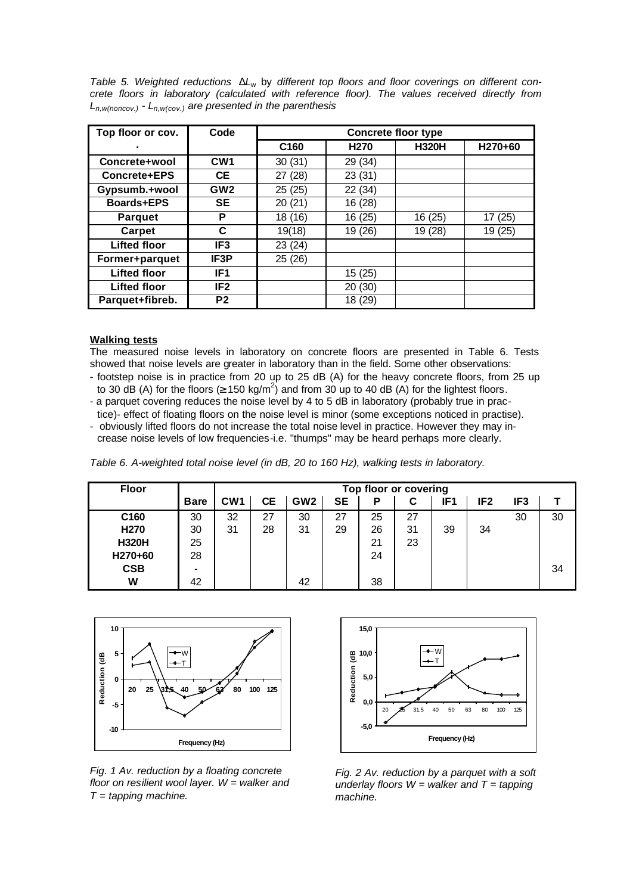*Table 5. Weighted reductions* Δ*L*w by *different top floors and floor coverings on different concrete floors in laboratory (calculated with reference floor). The values received directly from Ln,w(noncov.) - Ln,w(cov.) are presented in the parenthesis* 

| Top floor or cov.   | Code            | <b>Concrete floor type</b> |                  |              |         |  |  |  |  |  |
|---------------------|-----------------|----------------------------|------------------|--------------|---------|--|--|--|--|--|
| ٠                   |                 | C <sub>160</sub>           | H <sub>270</sub> | <b>H320H</b> | H270+60 |  |  |  |  |  |
| Concrete+wool       | CW <sub>1</sub> | 30(31)                     | 29 (34)          |              |         |  |  |  |  |  |
| Concrete+EPS        | <b>CE</b>       | 27 (28)                    | 23 (31)          |              |         |  |  |  |  |  |
| Gypsumb.+wool       | GW <sub>2</sub> | 25(25)                     | 22 (34)          |              |         |  |  |  |  |  |
| Boards+EPS          | <b>SE</b>       | 20 (21)                    | 16 (28)          |              |         |  |  |  |  |  |
| <b>Parquet</b>      | P               | 18 (16)                    | 16 (25)          | 16 (25)      | 17 (25) |  |  |  |  |  |
| Carpet              | C               | 19(18)                     | 19 (26)          | 19 (28)      | 19 (25) |  |  |  |  |  |
| <b>Lifted floor</b> | IF <sub>3</sub> | 23 (24)                    |                  |              |         |  |  |  |  |  |
| Former+parquet      | IF3P            | 25 (26)                    |                  |              |         |  |  |  |  |  |
| <b>Lifted floor</b> | IF <sub>1</sub> |                            | 15(25)           |              |         |  |  |  |  |  |
| <b>Lifted floor</b> | IF <sub>2</sub> |                            | 20(30)           |              |         |  |  |  |  |  |
| Parquet+fibreb.     | P <sub>2</sub>  |                            | 18 (29)          |              |         |  |  |  |  |  |

## **Walking tests**

The measured noise levels in laboratory on concrete floors are presented in Table 6. Tests showed that noise levels are greater in laboratory than in the field. Some other observations:

- footstep noise is in practice from 20 up to 25 dB (A) for the heavy concrete floors, from 25 up to 30 dB (A) for the floors  $( \geq 150 \text{ kg/m}^2)$  and from 30 up to 40 dB (A) for the lightest floors.
- a parquet covering reduces the noise level by 4 to 5 dB in laboratory (probably true in prac-
- tice)- effect of floating floors on the noise level is minor (some exceptions noticed in practise).
- obviously lifted floors do not increase the total noise level in practice. However they may increase noise levels of low frequencies-i.e. "thumps" may be heard perhaps more clearly.

*Table 6. A-weighted total noise level (in dB, 20 to 160 Hz), walking tests in laboratory.* 

| <b>Floor</b> |             |                 | Top floor or covering |                 |           |    |    |     |                 |                 |    |
|--------------|-------------|-----------------|-----------------------|-----------------|-----------|----|----|-----|-----------------|-----------------|----|
|              | <b>Bare</b> | CW <sub>1</sub> | CЕ                    | GW <sub>2</sub> | <b>SE</b> | Ρ  | C  | IF1 | IF <sub>2</sub> | IF <sub>3</sub> |    |
| C160         | 30          | 32              | 27                    | 30              | 27        | 25 | 27 |     |                 | 30              | 30 |
| H270         | 30          | 31              | 28                    | 31              | 29        | 26 | 31 | 39  | 34              |                 |    |
| <b>H320H</b> | 25          |                 |                       |                 |           | 21 | 23 |     |                 |                 |    |
| H270+60      | 28          |                 |                       |                 |           | 24 |    |     |                 |                 |    |
| <b>CSB</b>   | -           |                 |                       |                 |           |    |    |     |                 |                 | 34 |
| W            | 42          |                 |                       | 42              |           | 38 |    |     |                 |                 |    |



*Fig. 1 Av. reduction by a floating concrete floor on resilient wool layer. W = walker and T = tapping machine.* 



*Fig. 2 Av. reduction by a parquet with a soft underlay floors W = walker and T = tapping machine.*